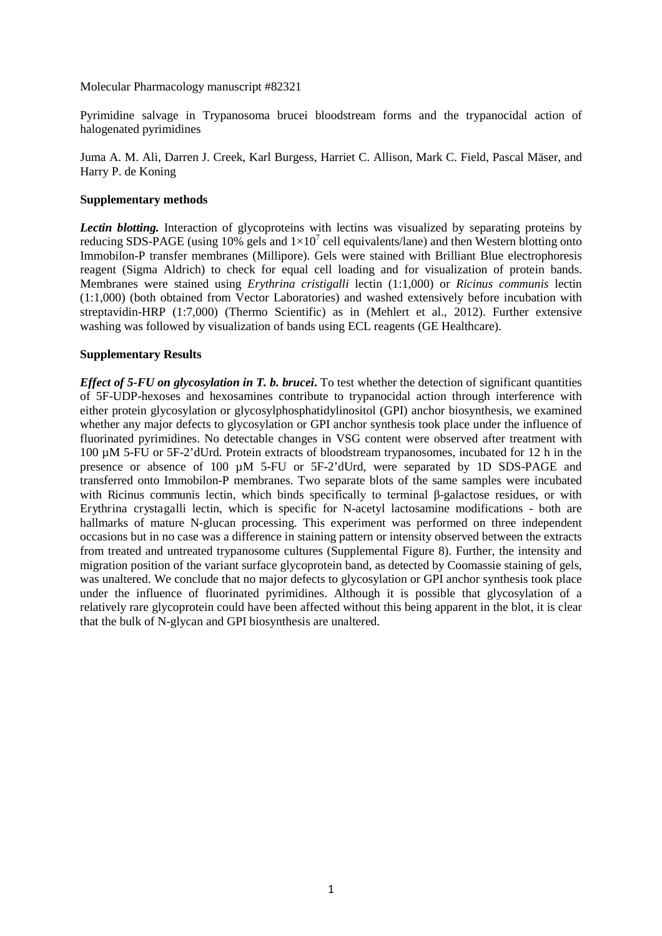Molecular Pharmacology manuscript #82321

Pyrimidine salvage in Trypanosoma brucei bloodstream forms and the trypanocidal action of halogenated pyrimidines

Juma A. M. Ali, Darren J. Creek, Karl Burgess, Harriet C. Allison, Mark C. Field, Pascal Mäser, and Harry P. de Koning

### **Supplementary methods**

*Lectin blotting.* Interaction of glycoproteins with lectins was visualized by separating proteins by reducing SDS-PAGE (using 10% gels and  $1\times10^7$  cell equivalents/lane) and then Western blotting onto Immobilon-P transfer membranes (Millipore). Gels were stained with Brilliant Blue electrophoresis reagent (Sigma Aldrich) to check for equal cell loading and for visualization of protein bands. Membranes were stained using *Erythrina cristigalli* lectin (1:1,000) or *Ricinus communis* lectin (1:1,000) (both obtained from Vector Laboratories) and washed extensively before incubation with streptavidin-HRP (1:7,000) (Thermo Scientific) as in (Mehlert et al., 2012). Further extensive washing was followed by visualization of bands using ECL reagents (GE Healthcare).

#### **Supplementary Results**

*Effect of 5-FU on glycosylation in T. b. brucei***.** To test whether the detection of significant quantities of 5F-UDP-hexoses and hexosamines contribute to trypanocidal action through interference with either protein glycosylation or glycosylphosphatidylinositol (GPI) anchor biosynthesis, we examined whether any major defects to glycosylation or GPI anchor synthesis took place under the influence of fluorinated pyrimidines. No detectable changes in VSG content were observed after treatment with 100 µM 5-FU or 5F-2'dUrd. Protein extracts of bloodstream trypanosomes, incubated for 12 h in the presence or absence of 100 µM 5-FU or 5F-2'dUrd, were separated by 1D SDS-PAGE and transferred onto Immobilon-P membranes. Two separate blots of the same samples were incubated with Ricinus communis lectin, which binds specifically to terminal β-galactose residues, or with Erythrina crystagalli lectin, which is specific for N-acetyl lactosamine modifications - both are hallmarks of mature N-glucan processing. This experiment was performed on three independent occasions but in no case was a difference in staining pattern or intensity observed between the extracts from treated and untreated trypanosome cultures (Supplemental Figure 8). Further, the intensity and migration position of the variant surface glycoprotein band, as detected by Coomassie staining of gels, was unaltered. We conclude that no major defects to glycosylation or GPI anchor synthesis took place under the influence of fluorinated pyrimidines. Although it is possible that glycosylation of a relatively rare glycoprotein could have been affected without this being apparent in the blot, it is clear that the bulk of N-glycan and GPI biosynthesis are unaltered.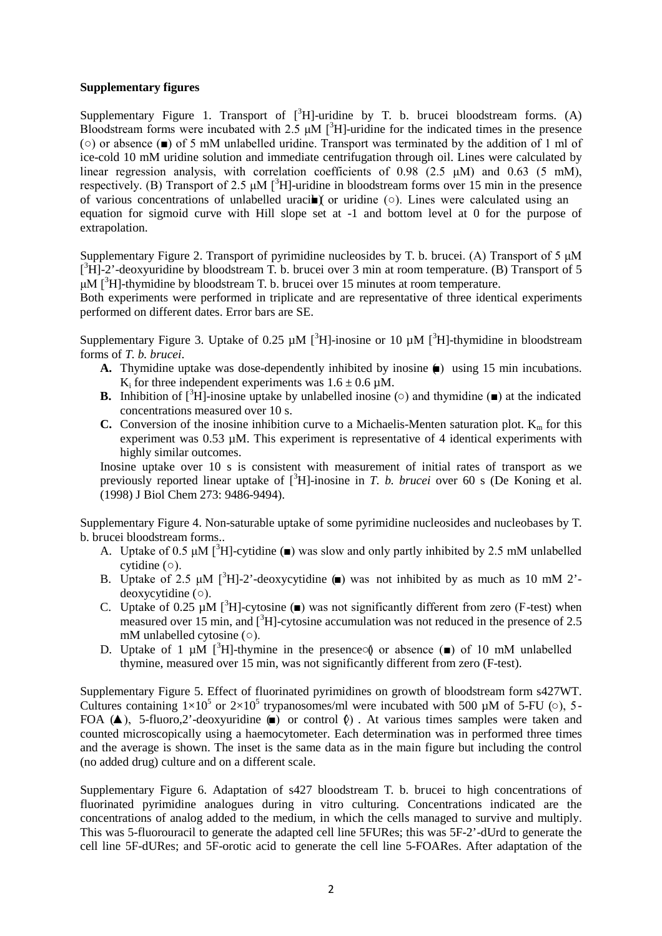### **Supplementary figures**

Supplementary Figure 1. Transport of  $[{}^{3}H]$ -uridine by T. b. brucei bloodstream forms. (A) Bloodstream forms were incubated with 2.5  $\mu$ M [<sup>3</sup>H]-uridine for the indicated times in the presence (○) or absence (■) of 5 mM unlabelled uridine. Transport was terminated by the addition of 1 ml of ice-cold 10 mM uridine solution and immediate centrifugation through oil. Lines were calculated by linear regression analysis, with correlation coefficients of 0.98 (2.5 μM) and 0.63 (5 mM), respectively. (B) Transport of 2.5  $\mu$ M [<sup>3</sup>H]-uridine in bloodstream forms over 15 min in the presence of various concentrations of unlabelled uracil  $\chi$  or uridine ( $\circ$ ). Lines were calculated using an equation for sigmoid curve with Hill slope set at -1 and bottom level at 0 for the purpose of extrapolation.

Supplementary Figure 2. Transport of pyrimidine nucleosides by T. b. brucei. (A) Transport of 5 μM  $[^3H]$ -2'-deoxyuridine by bloodstream T. b. brucei over 3 min at room temperature. (B) Transport of 5  $\mu$ M [<sup>3</sup>H]-thymidine by bloodstream T. b. brucei over 15 minutes at room temperature.

Both experiments were performed in triplicate and are representative of three identical experiments performed on different dates. Error bars are SE.

Supplementary Figure 3. Uptake of 0.25  $\mu$ M [<sup>3</sup>H]-inosine or 10  $\mu$ M [<sup>3</sup>H]-thymidine in bloodstream forms of *T. b. brucei*.

- A. Thymidine uptake was dose-dependently inhibited by inosine (■) using 15 min incubations. K<sub>i</sub> for three independent experiments was  $1.6 \pm 0.6 \mu M$ .
- **B.** Inhibition of  $[^{3}H]$ -inosine uptake by unlabelled inosine ( $\circ$ ) and thymidine ( $\bullet$ ) at the indicated concentrations measured over 10 s.
- **C.** Conversion of the inosine inhibition curve to a Michaelis-Menten saturation plot.  $K_m$  for this experiment was 0.53 µM. This experiment is representative of 4 identical experiments with highly similar outcomes.

Inosine uptake over 10 s is consistent with measurement of initial rates of transport as we previously reported linear uptake of [<sup>3</sup>H]-inosine in *T. b. brucei* over 60 s (De Koning et al. (1998) J Biol Chem 273: 9486-9494).

Supplementary Figure 4. Non-saturable uptake of some pyrimidine nucleosides and nucleobases by T. b. brucei bloodstream forms..

- A. Uptake of 0.5  $\mu$ M [<sup>3</sup>H]-cytidine ( $\blacksquare$ ) was slow and only partly inhibited by 2.5 mM unlabelled cytidine (○).
- B. Uptake of 2.5  $\mu$ M [<sup>3</sup>H]-2'-deoxycytidine (a) was not inhibited by as much as 10 mM 2'deoxycytidine (○).
- C. Uptake of 0.25  $\mu$ M [<sup>3</sup>H]-cytosine ( $\blacksquare$ ) was not significantly different from zero (F-test) when measured over 15 min, and  $[^{3}H]$ -cytosine accumulation was not reduced in the presence of 2.5 mM unlabelled cytosine (○).
- D. Uptake of 1  $\mu$ M [<sup>3</sup>H]-thymine in the presence on absence ( $\blacksquare$ ) of 10 mM unlabelled thymine, measured over 15 min, was not significantly different from zero (F-test).

Supplementary Figure 5. Effect of fluorinated pyrimidines on growth of bloodstream form s427WT. Cultures containing  $1\times10^5$  or  $2\times10^5$  trypanosomes/ml were incubated with 500 µM of 5-FU (0), 5-FOA ( $\blacktriangle$ ), 5-fluoro,2'-deoxyuridine ( $\blacktriangleright$ ) or control  $\varnothing$ ). At various times samples were taken and counted microscopically using a haemocytometer. Each determination was in performed three times and the average is shown. The inset is the same data as in the main figure but including the control (no added drug) culture and on a different scale.

Supplementary Figure 6. Adaptation of s427 bloodstream T. b. brucei to high concentrations of fluorinated pyrimidine analogues during in vitro culturing. Concentrations indicated are the concentrations of analog added to the medium, in which the cells managed to survive and multiply. This was 5-fluorouracil to generate the adapted cell line 5FURes; this was 5F-2'-dUrd to generate the cell line 5F-dURes; and 5F-orotic acid to generate the cell line 5-FOARes. After adaptation of the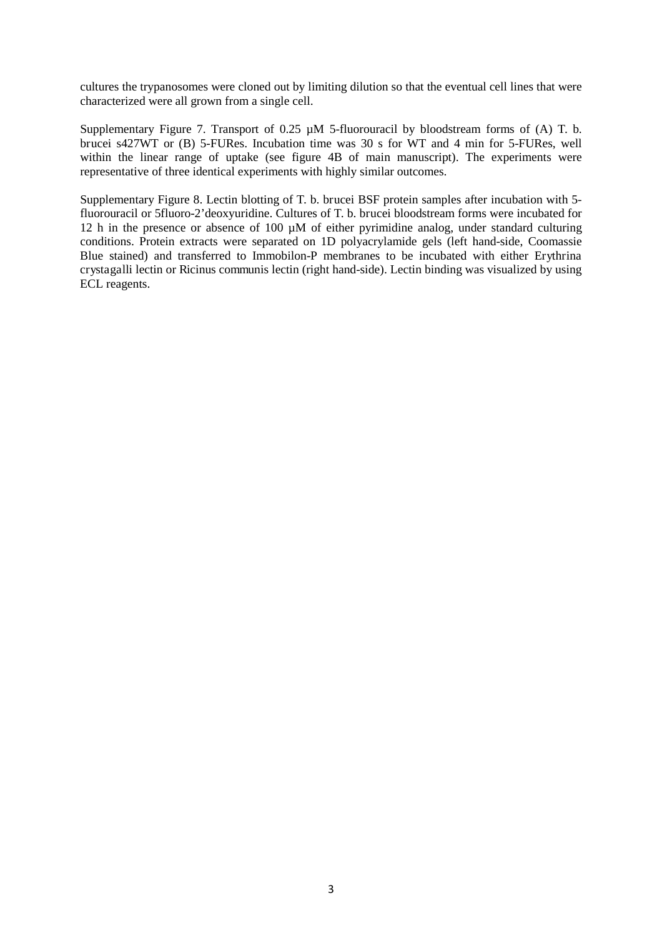cultures the trypanosomes were cloned out by limiting dilution so that the eventual cell lines that were characterized were all grown from a single cell.

Supplementary Figure 7. Transport of 0.25  $\mu$ M 5-fluorouracil by bloodstream forms of (A) T. b. brucei s427WT or (B) 5-FURes. Incubation time was 30 s for WT and 4 min for 5-FURes, well within the linear range of uptake (see figure 4B of main manuscript). The experiments were representative of three identical experiments with highly similar outcomes.

Supplementary Figure 8. Lectin blotting of T. b. brucei BSF protein samples after incubation with 5 fluorouracil or 5fluoro-2'deoxyuridine. Cultures of T. b. brucei bloodstream forms were incubated for 12 h in the presence or absence of 100  $\mu$ M of either pyrimidine analog, under standard culturing conditions. Protein extracts were separated on 1D polyacrylamide gels (left hand-side, Coomassie Blue stained) and transferred to Immobilon-P membranes to be incubated with either Erythrina crystagalli lectin or Ricinus communis lectin (right hand-side). Lectin binding was visualized by using ECL reagents.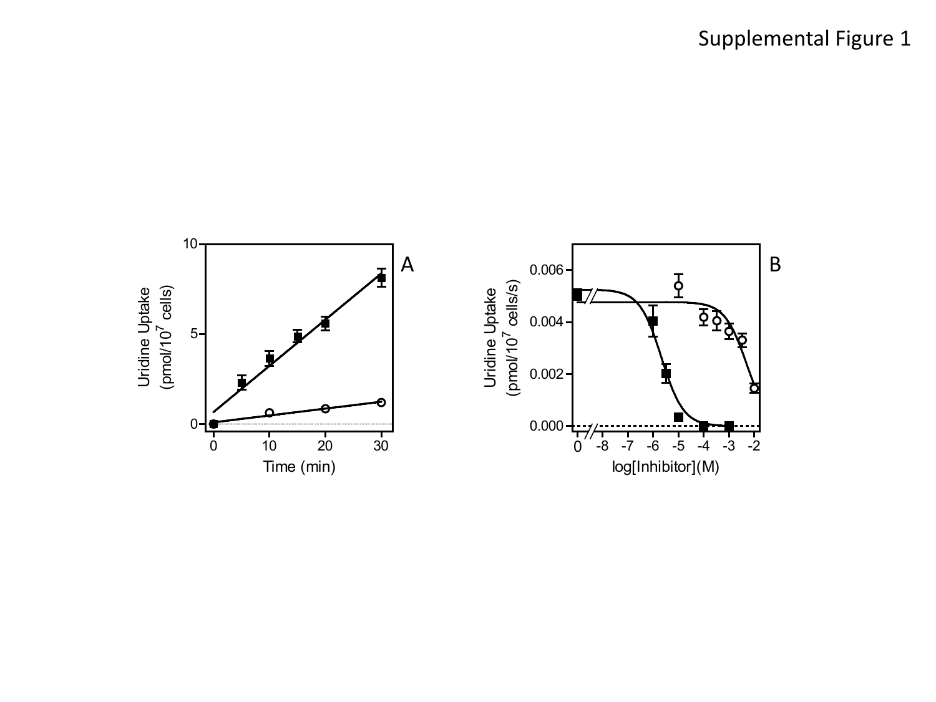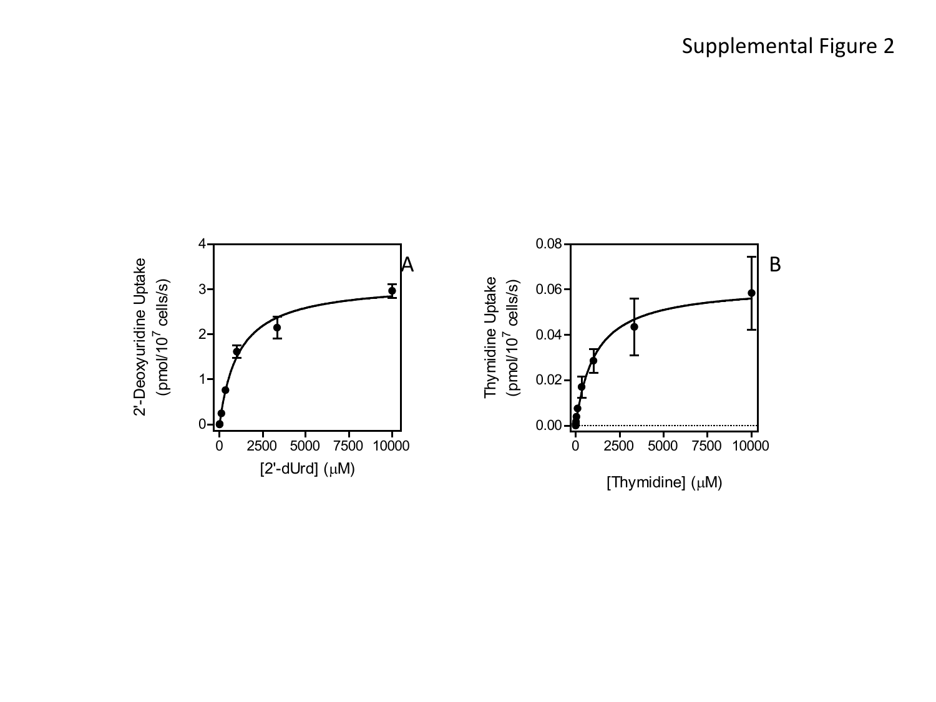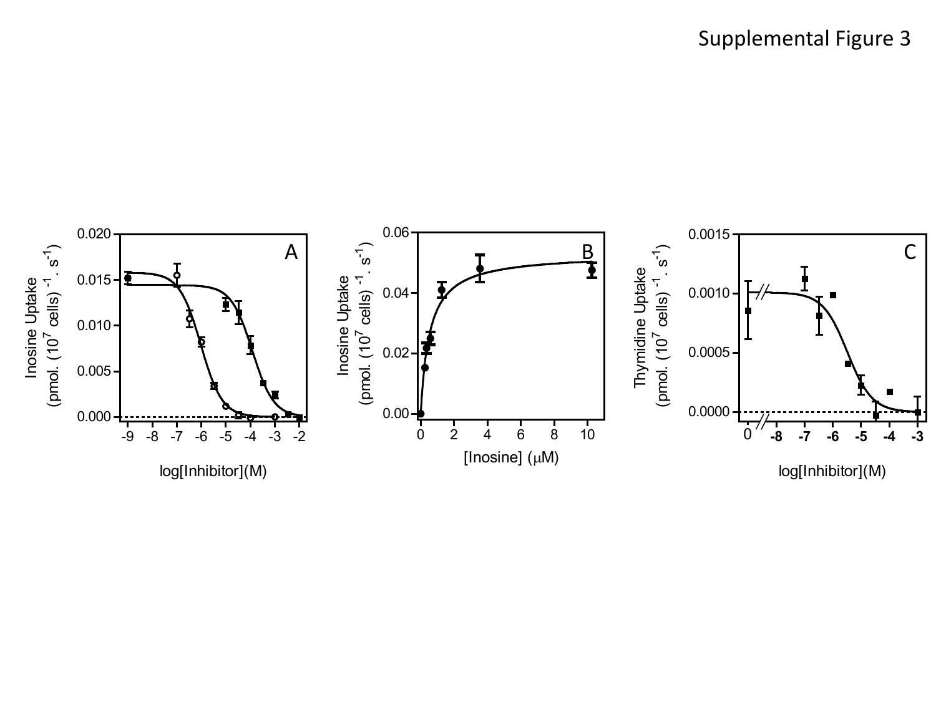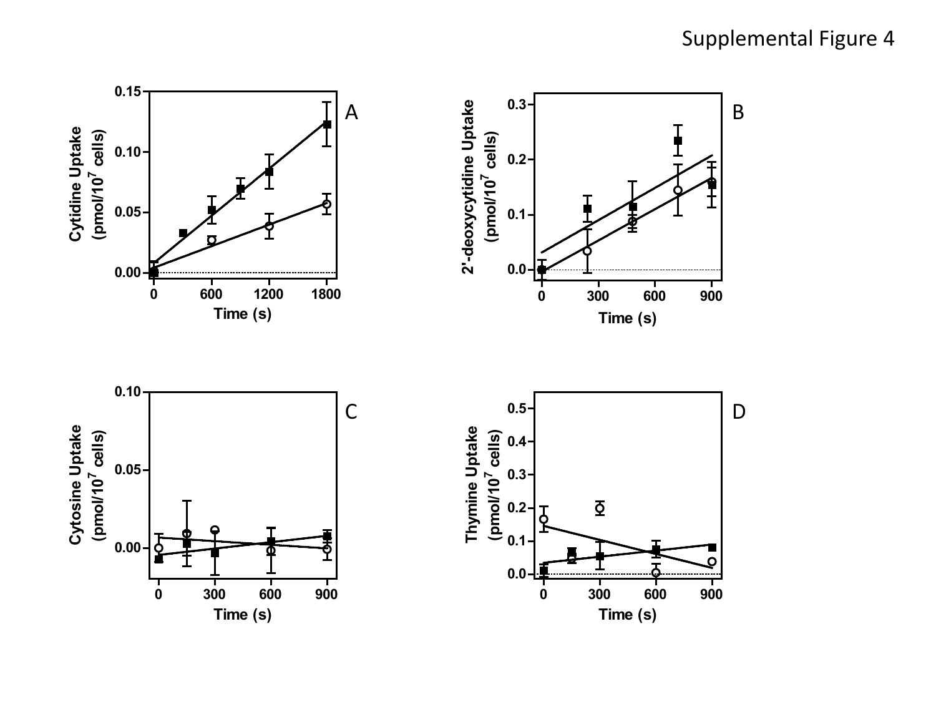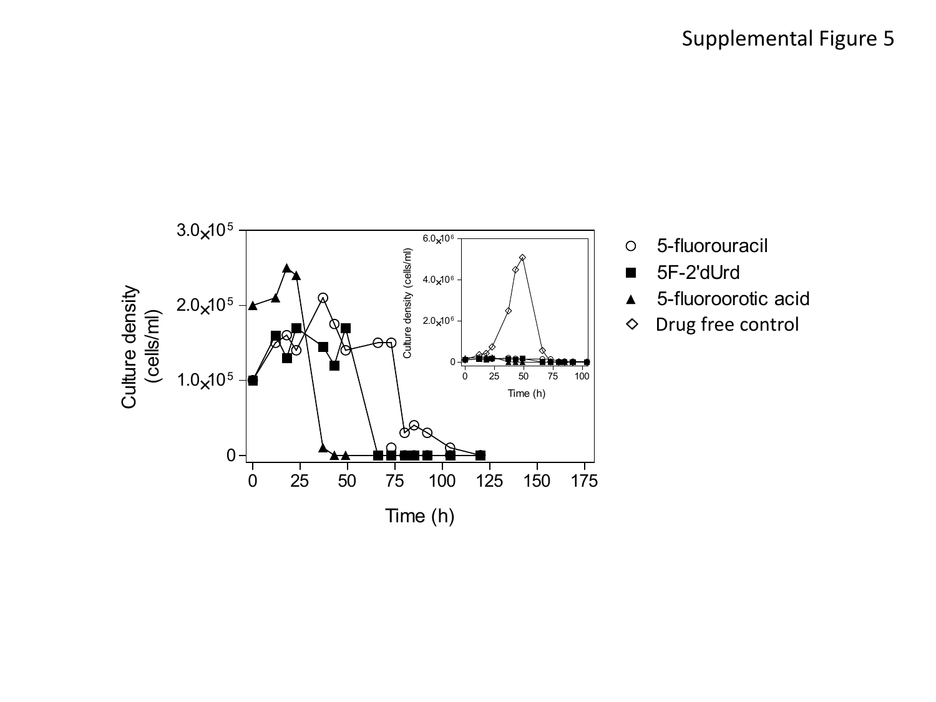

- 5-fluorouracil  $\circ$
- 5F-2'dUrd  $\blacksquare$
- 5-fluoroorotic acid  $\blacktriangle$
- Drug free control♦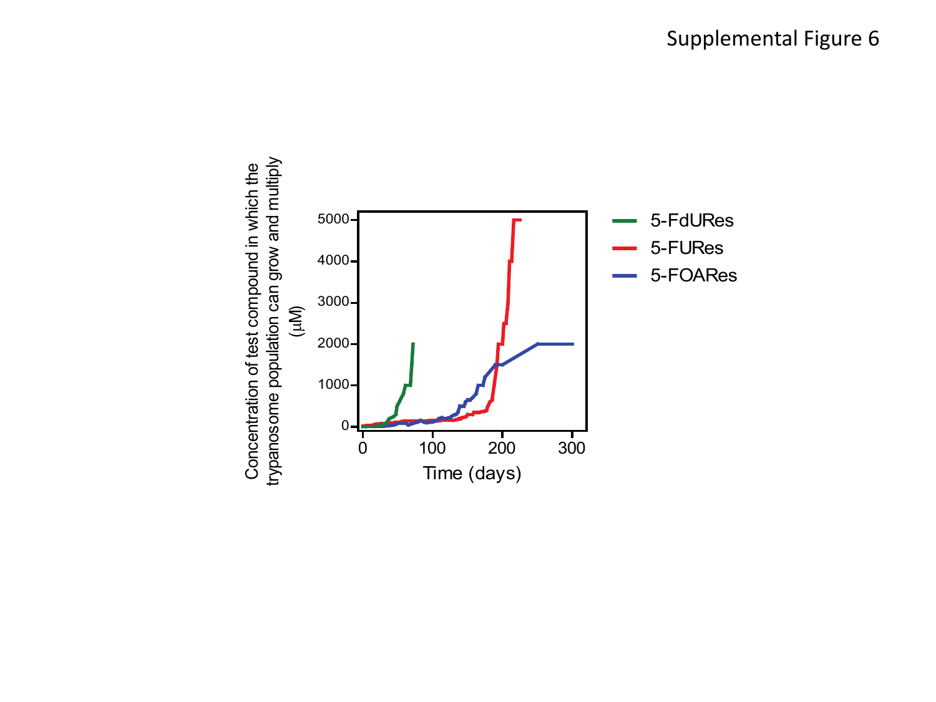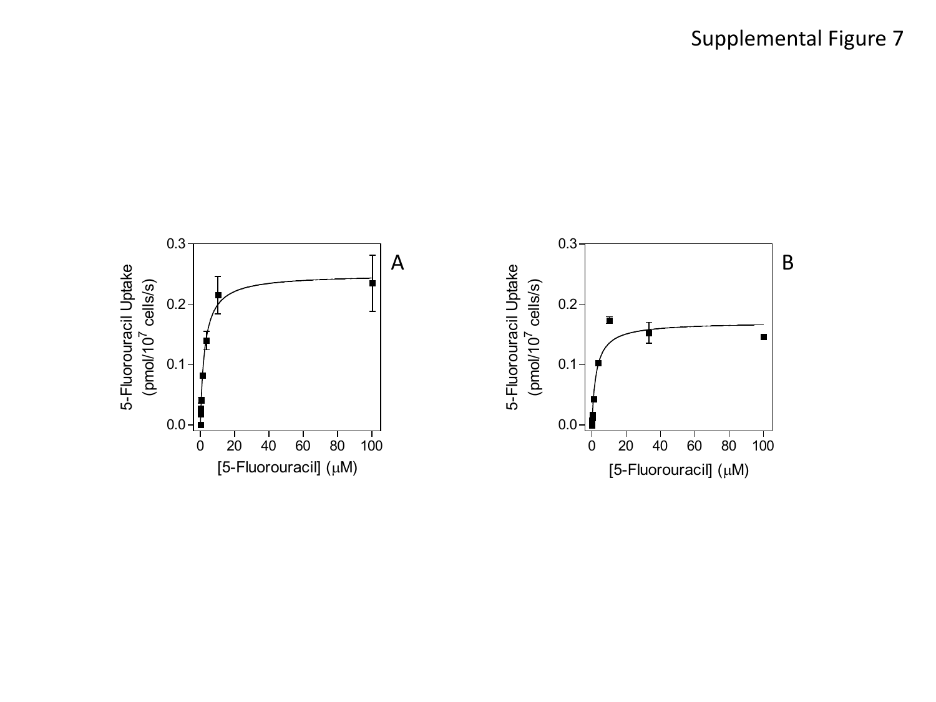